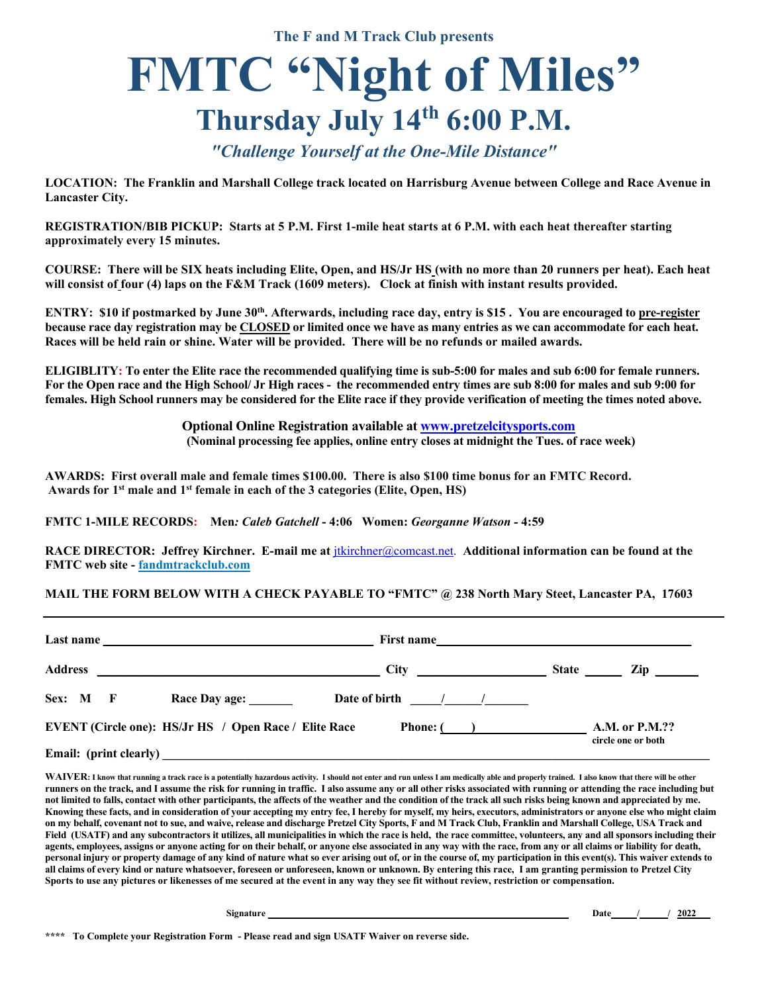**The F and M Track Club presents** 

## **FMTC "Night of Miles" Thursday July 14th 6:00 P.M.**

## *"Challenge Yourself at the One-Mile Distance"*

**LOCATION: The Franklin and Marshall College track located on Harrisburg Avenue between College and Race Avenue in Lancaster City.** 

**REGISTRATION/BIB PICKUP: Starts at 5 P.M. First 1-mile heat starts at 6 P.M. with each heat thereafter starting approximately every 15 minutes.**

**COURSE: There will be SIX heats including Elite, Open, and HS/Jr HS (with no more than 20 runners per heat). Each heat will consist of four (4) laps on the F&M Track (1609 meters). Clock at finish with instant results provided.**

**ENTRY: \$10 if postmarked by June 30th. Afterwards, including race day, entry is \$15 . You are encouraged to pre-register because race day registration may be CLOSED or limited once we have as many entries as we can accommodate for each heat. Races will be held rain or shine. Water will be provided. There will be no refunds or mailed awards.**

**ELIGIBLITY: To enter the Elite race the recommended qualifying time is sub-5:00 for males and sub 6:00 for female runners. For the Open race and the High School/ Jr High races - the recommended entry times are sub 8:00 for males and sub 9:00 for females. High School runners may be considered for the Elite race if they provide verification of meeting the times noted above.** 

> **Optional Online Registration available at www.pretzelcitysports.com (Nominal processing fee applies, online entry closes at midnight the Tues. of race week)**

**AWARDS: First overall male and female times \$100.00. There is also \$100 time bonus for an FMTC Record. Awards for 1st male and 1st female in each of the 3 categories (Elite, Open, HS)**

**FMTC 1-MILE RECORDS: Men***: Caleb Gatchell* **- 4:06 Women:** *Georganne Watson -* **4:59**

**RACE DIRECTOR: Jeffrey Kirchner. E-mail me at** jtkirchner@comcast.net. **Additional information can be found at the FMTC web site - fandmtrackclub.com**

## **MAIL THE FORM BELOW WITH A CHECK PAYABLE TO "FMTC" @ 238 North Mary Steet, Lancaster PA, 17603**

| Last name $\frac{1}{\sqrt{1-\frac{1}{2}}\sqrt{1-\frac{1}{2}}\sqrt{1-\frac{1}{2}}\sqrt{1-\frac{1}{2}}\sqrt{1-\frac{1}{2}}\sqrt{1-\frac{1}{2}}\sqrt{1-\frac{1}{2}}\sqrt{1-\frac{1}{2}}\sqrt{1-\frac{1}{2}}\sqrt{1-\frac{1}{2}}\sqrt{1-\frac{1}{2}}\sqrt{1-\frac{1}{2}}\sqrt{1-\frac{1}{2}}\sqrt{1-\frac{1}{2}}\sqrt{1-\frac{1}{2}}\sqrt{1-\frac{1}{2}}\sqrt{1-\frac{1}{2}}\sqrt{1-\frac{1}{2}}\sqrt{1-\frac{$ |                 | First name                                     |
|-------------------------------------------------------------------------------------------------------------------------------------------------------------------------------------------------------------------------------------------------------------------------------------------------------------------------------------------------------------------------------------------------------------|-----------------|------------------------------------------------|
| <b>Address</b><br><u> 1989 - Johann Stein, mars an deutscher Stein († 1989)</u>                                                                                                                                                                                                                                                                                                                             | $\frac{City}$   | <b>State</b><br>$\mathbf{Zip} \perp$           |
| Sex: M F<br>Race Day age: _______                                                                                                                                                                                                                                                                                                                                                                           | Date of birth 1 |                                                |
| <b>EVENT</b> (Circle one): HS/Jr HS / Open Race / Elite Race                                                                                                                                                                                                                                                                                                                                                |                 | Phone: $(A.M. or P.M.?)$<br>circle one or both |
|                                                                                                                                                                                                                                                                                                                                                                                                             |                 |                                                |

WAIVER: I know that running a track race is a potentially hazardous activity. I should not enter and run unless I am medically able and properly trained. I also know that there will be other **runners on the track, and I assume the risk for running in traffic. I also assume any or all other risks associated with running or attending the race including but not limited to falls, contact with other participants, the affects of the weather and the condition of the track all such risks being known and appreciated by me. Knowing these facts, and in consideration of your accepting my entry fee, I hereby for myself, my heirs, executors, administrators or anyone else who might claim on my behalf, covenant not to sue, and waive, release and discharge Pretzel City Sports, F and M Track Club, Franklin and Marshall College, USA Track and Field (USATF) and any subcontractors it utilizes, all municipalities in which the race is held, the race committee, volunteers, any and all sponsors including their agents, employees, assigns or anyone acting for on their behalf, or anyone else associated in any way with the race, from any or all claims or liability for death, personal injury or property damage of any kind of nature what so ever arising out of, or in the course of, my participation in this event(s). This waiver extends to all claims of every kind or nature whatsoever, foreseen or unforeseen, known or unknown. By entering this race, I am granting permission to Pretzel City Sports to use any pictures or likenesses of me secured at the event in any way they see fit without review, restriction or compensation.** 

 **Signature \_\_\_\_\_\_\_\_\_\_\_\_\_\_\_\_\_\_\_\_\_\_\_\_\_\_\_\_\_\_\_\_\_\_\_\_\_\_\_\_\_\_\_\_\_\_\_\_\_\_\_\_\_\_\_\_\_\_\_\_\_\_\_ Date / / 2022\_\_\_**

**\*\*\*\* To Complete your Registration Form - Please read and sign USATF Waiver on reverse side.**